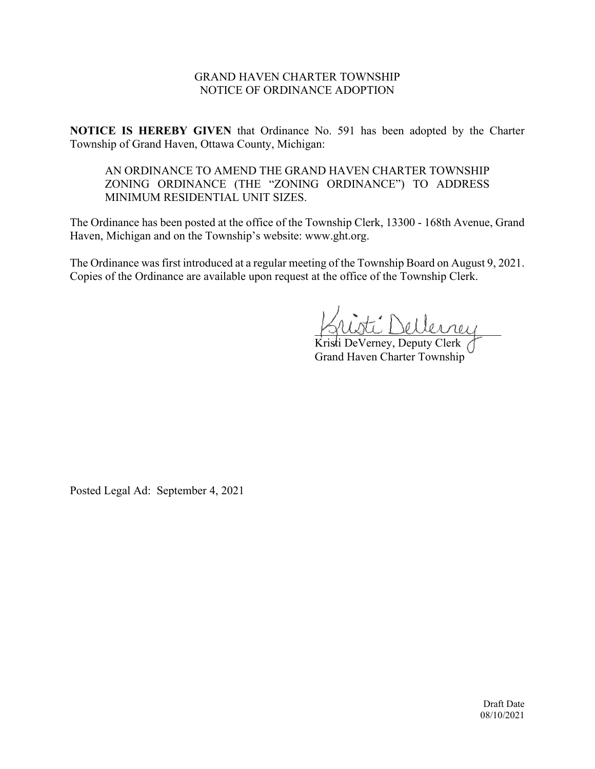# GRAND HAVEN CHARTER TOWNSHIP NOTICE OF ORDINANCE ADOPTION

**NOTICE IS HEREBY GIVEN** that Ordinance No. 591 has been adopted by the Charter Township of Grand Haven, Ottawa County, Michigan:

AN ORDINANCE TO AMEND THE GRAND HAVEN CHARTER TOWNSHIP ZONING ORDINANCE (THE "ZONING ORDINANCE") TO ADDRESS MINIMUM RESIDENTIAL UNIT SIZES.

The Ordinance has been posted at the office of the Township Clerk, 13300 - 168th Avenue, Grand Haven, Michigan and on the Township's website: www.ght.org.

The Ordinance was first introduced at a regular meeting of the Township Board on August 9, 2021. Copies of the Ordinance are available upon request at the office of the Township Clerk.

 $L^2$  Dellerrey

Kristi DeVerney, Deputy Clerk Grand Haven Charter Township

Posted Legal Ad: September 4, 2021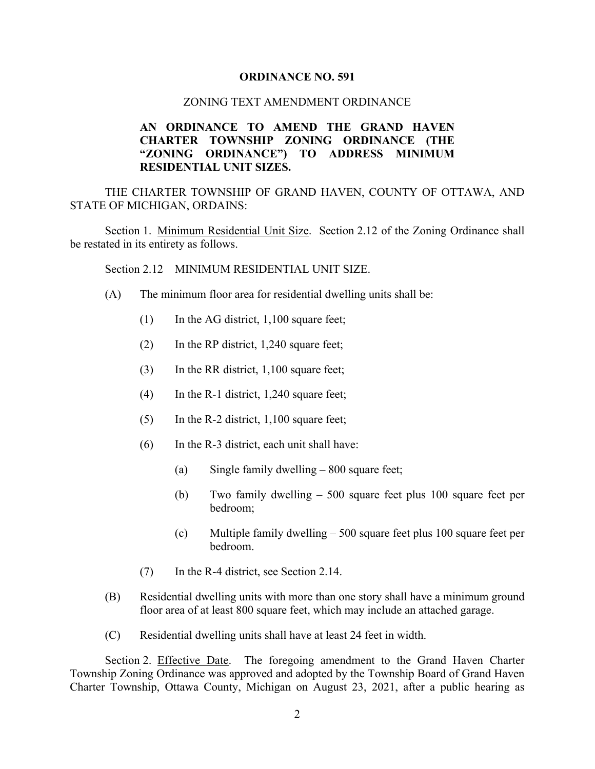#### **ORDINANCE NO. 591**

#### ZONING TEXT AMENDMENT ORDINANCE

# **AN ORDINANCE TO AMEND THE GRAND HAVEN CHARTER TOWNSHIP ZONING ORDINANCE (THE "ZONING ORDINANCE") TO ADDRESS MINIMUM RESIDENTIAL UNIT SIZES.**

THE CHARTER TOWNSHIP OF GRAND HAVEN, COUNTY OF OTTAWA, AND STATE OF MICHIGAN, ORDAINS:

Section 1. Minimum Residential Unit Size. Section 2.12 of the Zoning Ordinance shall be restated in its entirety as follows.

Section 2.12 MINIMUM RESIDENTIAL UNIT SIZE.

- (A) The minimum floor area for residential dwelling units shall be:
	- $(1)$  In the AG district, 1,100 square feet;
	- (2) In the RP district, 1,240 square feet;
	- (3) In the RR district, 1,100 square feet;
	- (4) In the R-1 district, 1,240 square feet;
	- (5) In the R-2 district, 1,100 square feet;
	- (6) In the R-3 district, each unit shall have:
		- (a) Single family dwelling 800 square feet;
		- (b) Two family dwelling 500 square feet plus 100 square feet per bedroom;
		- (c) Multiple family dwelling 500 square feet plus 100 square feet per bedroom.
	- (7) In the R-4 district, see Section 2.14.
- (B) Residential dwelling units with more than one story shall have a minimum ground floor area of at least 800 square feet, which may include an attached garage.
- (C) Residential dwelling units shall have at least 24 feet in width.

Section 2. Effective Date. The foregoing amendment to the Grand Haven Charter Township Zoning Ordinance was approved and adopted by the Township Board of Grand Haven Charter Township, Ottawa County, Michigan on August 23, 2021, after a public hearing as